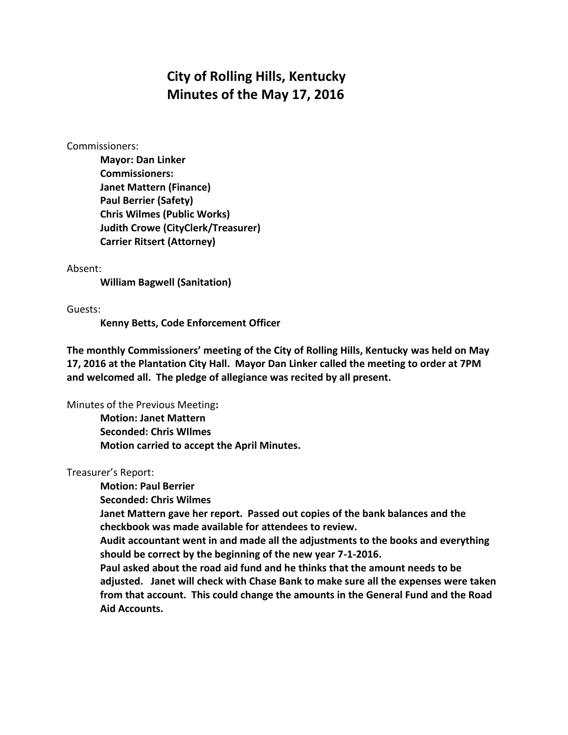# **City of Rolling Hills, Kentucky Minutes of the May 17, 2016**

#### Commissioners:

**Mayor: Dan Linker Commissioners: Janet Mattern (Finance) Paul Berrier (Safety) Chris Wilmes (Public Works) Judith Crowe (CityClerk/Treasurer) Carrier Ritsert (Attorney)**

### Absent:

**William Bagwell (Sanitation)**

Guests:

**Kenny Betts, Code Enforcement Officer**

**The monthly Commissioners' meeting of the City of Rolling Hills, Kentucky was held on May 17, 2016 at the Plantation City Hall. Mayor Dan Linker called the meeting to order at 7PM and welcomed all. The pledge of allegiance was recited by all present.** 

Minutes of the Previous Meeting**:**

**Motion: Janet Mattern Seconded: Chris WIlmes Motion carried to accept the April Minutes.**

## Treasurer's Report:

**Motion: Paul Berrier Seconded: Chris Wilmes Janet Mattern gave her report. Passed out copies of the bank balances and the checkbook was made available for attendees to review. Audit accountant went in and made all the adjustments to the books and everything should be correct by the beginning of the new year 7-1-2016. Paul asked about the road aid fund and he thinks that the amount needs to be adjusted. Janet will check with Chase Bank to make sure all the expenses were taken from that account. This could change the amounts in the General Fund and the Road Aid Accounts.**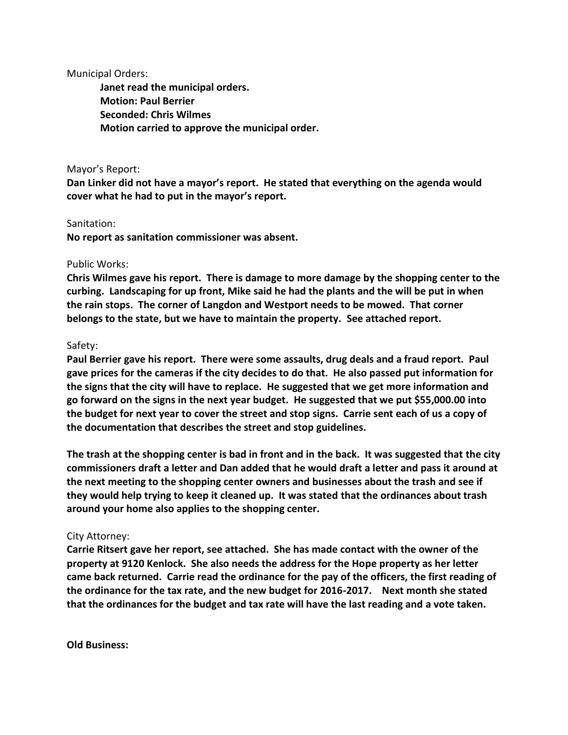Municipal Orders:

**Janet read the municipal orders. Motion: Paul Berrier Seconded: Chris Wilmes Motion carried to approve the municipal order.**

### Mayor's Report:

**Dan Linker did not have a mayor's report. He stated that everything on the agenda would cover what he had to put in the mayor's report.**

### Sanitation:

**No report as sanitation commissioner was absent.**

### Public Works:

**Chris Wilmes gave his report. There is damage to more damage by the shopping center to the curbing. Landscaping for up front, Mike said he had the plants and the will be put in when the rain stops. The corner of Langdon and Westport needs to be mowed. That corner belongs to the state, but we have to maintain the property. See attached report.**

### Safety:

**Paul Berrier gave his report. There were some assaults, drug deals and a fraud report. Paul gave prices for the cameras if the city decides to do that. He also passed put information for the signs that the city will have to replace. He suggested that we get more information and go forward on the signs in the next year budget. He suggested that we put \$55,000.00 into the budget for next year to cover the street and stop signs. Carrie sent each of us a copy of the documentation that describes the street and stop guidelines.** 

**The trash at the shopping center is bad in front and in the back. It was suggested that the city commissioners draft a letter and Dan added that he would draft a letter and pass it around at the next meeting to the shopping center owners and businesses about the trash and see if they would help trying to keep it cleaned up. It was stated that the ordinances about trash around your home also applies to the shopping center.**

## City Attorney:

**Carrie Ritsert gave her report, see attached. She has made contact with the owner of the property at 9120 Kenlock. She also needs the address for the Hope property as her letter came back returned. Carrie read the ordinance for the pay of the officers, the first reading of the ordinance for the tax rate, and the new budget for 2016-2017. Next month she stated that the ordinances for the budget and tax rate will have the last reading and a vote taken.**

**Old Business:**